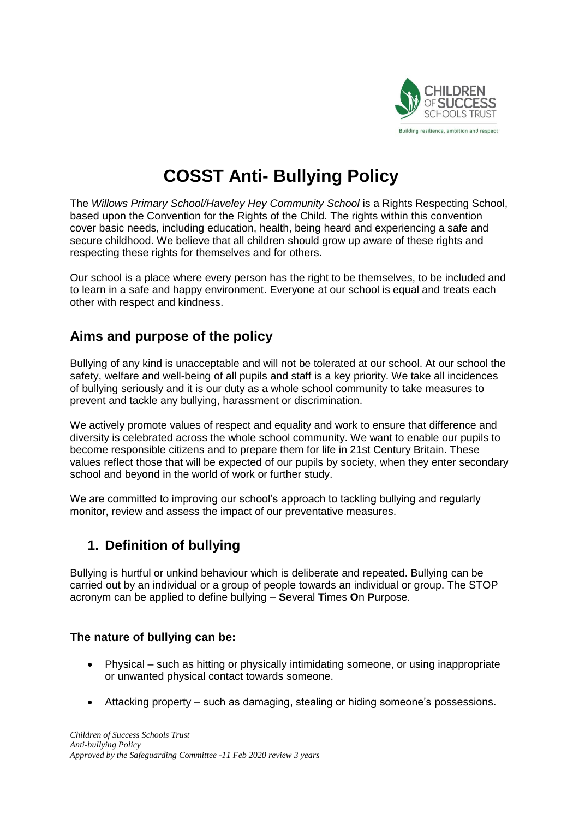

# **COSST Anti- Bullying Policy**

The *Willows Primary School/Haveley Hey Community School* is a Rights Respecting School, based upon the Convention for the Rights of the Child. The rights within this convention cover basic needs, including education, health, being heard and experiencing a safe and secure childhood. We believe that all children should grow up aware of these rights and respecting these rights for themselves and for others.

Our school is a place where every person has the right to be themselves, to be included and to learn in a safe and happy environment. Everyone at our school is equal and treats each other with respect and kindness.

### **Aims and purpose of the policy**

Bullying of any kind is unacceptable and will not be tolerated at our school. At our school the safety, welfare and well-being of all pupils and staff is a key priority. We take all incidences of bullying seriously and it is our duty as a whole school community to take measures to prevent and tackle any bullying, harassment or discrimination.

We actively promote values of respect and equality and work to ensure that difference and diversity is celebrated across the whole school community. We want to enable our pupils to become responsible citizens and to prepare them for life in 21st Century Britain. These values reflect those that will be expected of our pupils by society, when they enter secondary school and beyond in the world of work or further study.

We are committed to improving our school's approach to tackling bullying and regularly monitor, review and assess the impact of our preventative measures.

# **1. Definition of bullying**

Bullying is hurtful or unkind behaviour which is deliberate and repeated. Bullying can be carried out by an individual or a group of people towards an individual or group. The STOP acronym can be applied to define bullying – **S**everal **T**imes **O**n **P**urpose.

#### **The nature of bullying can be:**

- Physical such as hitting or physically intimidating someone, or using inappropriate or unwanted physical contact towards someone.
- Attacking property such as damaging, stealing or hiding someone's possessions.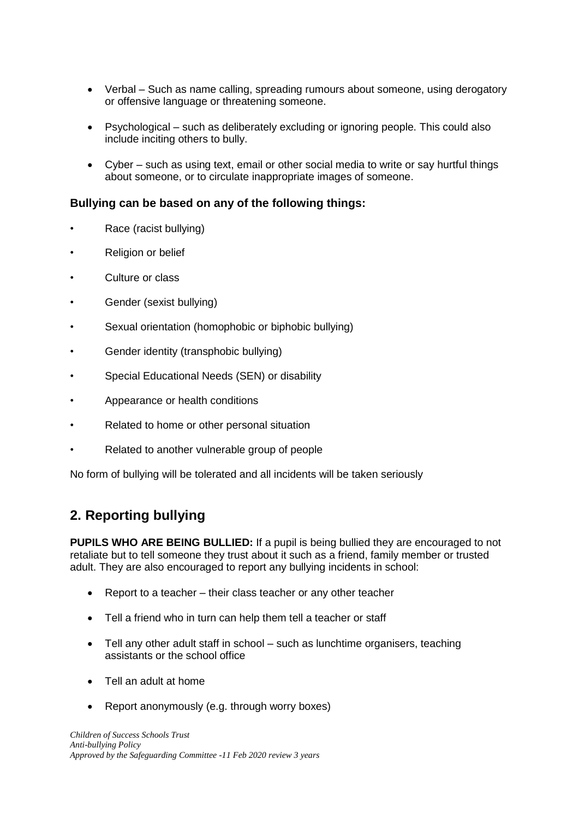- Verbal Such as name calling, spreading rumours about someone, using derogatory or offensive language or threatening someone.
- Psychological such as deliberately excluding or ignoring people. This could also include inciting others to bully.
- Cyber such as using text, email or other social media to write or say hurtful things about someone, or to circulate inappropriate images of someone.

#### **Bullying can be based on any of the following things:**

- Race (racist bullying)
- Religion or belief
- Culture or class
- Gender (sexist bullying)
- Sexual orientation (homophobic or biphobic bullying)
- Gender identity (transphobic bullying)
- Special Educational Needs (SEN) or disability
- Appearance or health conditions
- Related to home or other personal situation
- Related to another vulnerable group of people

No form of bullying will be tolerated and all incidents will be taken seriously

# **2. Reporting bullying**

**PUPILS WHO ARE BEING BULLIED:** If a pupil is being bullied they are encouraged to not retaliate but to tell someone they trust about it such as a friend, family member or trusted adult. They are also encouraged to report any bullying incidents in school:

- Report to a teacher their class teacher or any other teacher
- Tell a friend who in turn can help them tell a teacher or staff
- Tell any other adult staff in school such as lunchtime organisers, teaching assistants or the school office
- Tell an adult at home
- Report anonymously (e.g. through worry boxes)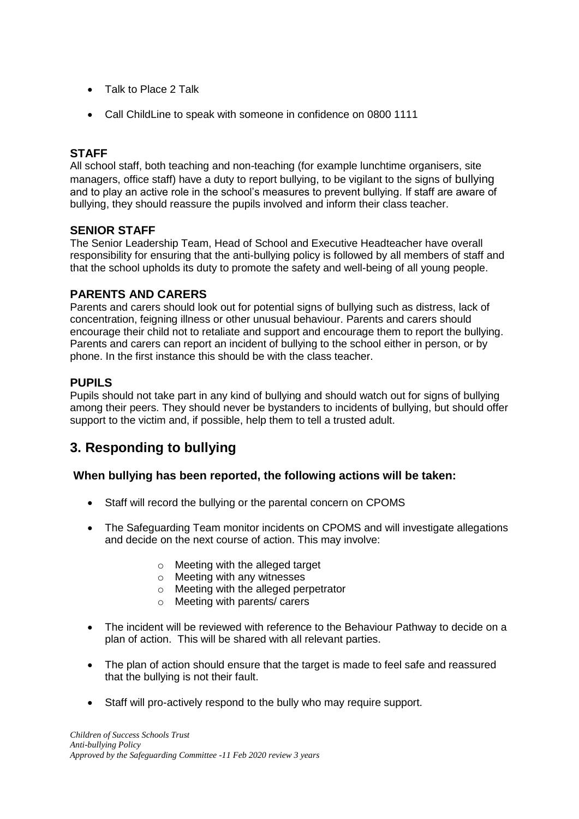- Talk to Place 2 Talk
- Call ChildLine to speak with someone in confidence on 0800 1111

#### **STAFF**

All school staff, both teaching and non-teaching (for example lunchtime organisers, site managers, office staff) have a duty to report bullying, to be vigilant to the signs of bullying and to play an active role in the school's measures to prevent bullying. If staff are aware of bullying, they should reassure the pupils involved and inform their class teacher.

#### **SENIOR STAFF**

The Senior Leadership Team, Head of School and Executive Headteacher have overall responsibility for ensuring that the anti-bullying policy is followed by all members of staff and that the school upholds its duty to promote the safety and well-being of all young people.

#### **PARENTS AND CARERS**

Parents and carers should look out for potential signs of bullying such as distress, lack of concentration, feigning illness or other unusual behaviour. Parents and carers should encourage their child not to retaliate and support and encourage them to report the bullying. Parents and carers can report an incident of bullying to the school either in person, or by phone. In the first instance this should be with the class teacher.

### **PUPILS**

Pupils should not take part in any kind of bullying and should watch out for signs of bullying among their peers. They should never be bystanders to incidents of bullying, but should offer support to the victim and, if possible, help them to tell a trusted adult.

## **3. Responding to bullying**

#### **When bullying has been reported, the following actions will be taken:**

- Staff will record the bullying or the parental concern on CPOMS
- The Safeguarding Team monitor incidents on CPOMS and will investigate allegations and decide on the next course of action. This may involve:
	- o Meeting with the alleged target
	- o Meeting with any witnesses
	- o Meeting with the alleged perpetrator
	- o Meeting with parents/ carers
- The incident will be reviewed with reference to the Behaviour Pathway to decide on a plan of action. This will be shared with all relevant parties.
- The plan of action should ensure that the target is made to feel safe and reassured that the bullying is not their fault.
- Staff will pro-actively respond to the bully who may require support.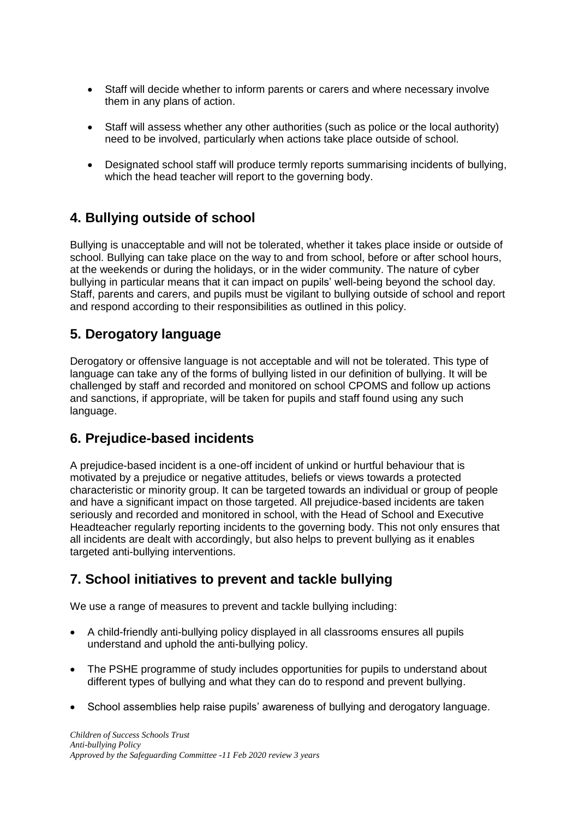- Staff will decide whether to inform parents or carers and where necessary involve them in any plans of action.
- Staff will assess whether any other authorities (such as police or the local authority) need to be involved, particularly when actions take place outside of school.
- Designated school staff will produce termly reports summarising incidents of bullying, which the head teacher will report to the governing body.

## **4. Bullying outside of school**

Bullying is unacceptable and will not be tolerated, whether it takes place inside or outside of school. Bullying can take place on the way to and from school, before or after school hours, at the weekends or during the holidays, or in the wider community. The nature of cyber bullying in particular means that it can impact on pupils' well-being beyond the school day. Staff, parents and carers, and pupils must be vigilant to bullying outside of school and report and respond according to their responsibilities as outlined in this policy.

## **5. Derogatory language**

Derogatory or offensive language is not acceptable and will not be tolerated. This type of language can take any of the forms of bullying listed in our definition of bullying. It will be challenged by staff and recorded and monitored on school CPOMS and follow up actions and sanctions, if appropriate, will be taken for pupils and staff found using any such language.

### **6. Prejudice-based incidents**

A prejudice-based incident is a one-off incident of unkind or hurtful behaviour that is motivated by a prejudice or negative attitudes, beliefs or views towards a protected characteristic or minority group. It can be targeted towards an individual or group of people and have a significant impact on those targeted. All prejudice-based incidents are taken seriously and recorded and monitored in school, with the Head of School and Executive Headteacher regularly reporting incidents to the governing body. This not only ensures that all incidents are dealt with accordingly, but also helps to prevent bullying as it enables targeted anti-bullying interventions.

### **7. School initiatives to prevent and tackle bullying**

We use a range of measures to prevent and tackle bullying including:

- A child-friendly anti-bullying policy displayed in all classrooms ensures all pupils understand and uphold the anti-bullying policy.
- The PSHE programme of study includes opportunities for pupils to understand about different types of bullying and what they can do to respond and prevent bullying.
- School assemblies help raise pupils' awareness of bullying and derogatory language.